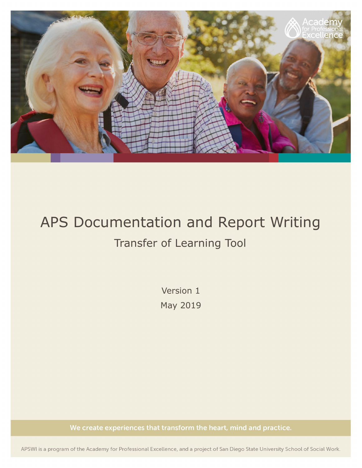

# APS Documentation and Report Writing Transfer of Learning Tool

Version 1 May 2019

We create experiences that transform the heart, mind and practice.

APSWI is a program of the Academy for Professional Excellence, and a project of San Diego State University School of Social Work.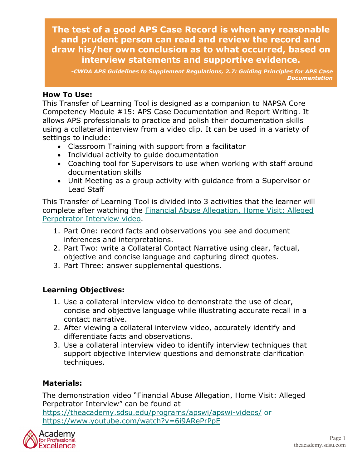**The test of a good APS Case Record is when any reasonable and prudent person can read and review the record and draw his/her own conclusion as to what occurred, based on interview statements and supportive evidence.**

*-CWDA APS Guidelines to Supplement Regulations, 2.7: Guiding Principles for APS Case Documentation*

#### **How To Use:**

This Transfer of Learning Tool is designed as a companion to NAPSA Core Competency Module #15: APS Case Documentation and Report Writing. It allows APS professionals to practice and polish their documentation skills using a collateral interview from a video clip. It can be used in a variety of settings to include:

- Classroom Training with support from a facilitator
- Individual activity to guide documentation
- Coaching tool for Supervisors to use when working with staff around documentation skills
- Unit Meeting as a group activity with guidance from a Supervisor or Lead Staff

This Transfer of Learning Tool is divided into 3 activities that the learner will complete after watching the [Financial Abuse Allegation, Home Visit: Alleged](https://www.youtube.com/watch?v=6i9ARePrPpE)  [Perpetrator Interview](https://www.youtube.com/watch?v=6i9ARePrPpE) video.

- 1. Part One: record facts and observations you see and document inferences and interpretations.
- 2. Part Two: write a Collateral Contact Narrative using clear, factual, objective and concise language and capturing direct quotes.
- 3. Part Three: answer supplemental questions.

#### **Learning Objectives:**

- 1. Use a collateral interview video to demonstrate the use of clear, concise and objective language while illustrating accurate recall in a contact narrative.
- 2. After viewing a collateral interview video, accurately identify and differentiate facts and observations.
- 3. Use a collateral interview video to identify interview techniques that support objective interview questions and demonstrate clarification techniques.

#### **Materials:**

The demonstration video "Financial Abuse Allegation, Home Visit: Alleged Perpetrator Interview" can be found at <https://theacademy.sdsu.edu/programs/apswi/apswi-videos/> or <https://www.youtube.com/watch?v=6i9ARePrPpE>

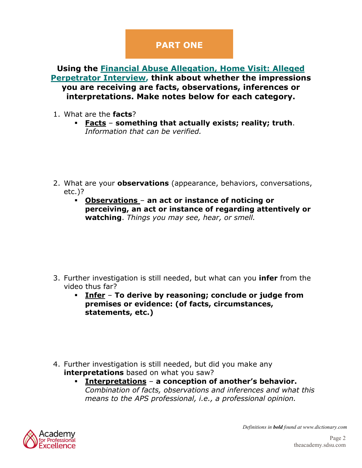# **PART ONE**

**Using the [Financial Abuse Allegation, Home Visit: Alleged](https://www.youtube.com/watch?v=6i9ARePrPpE)  [Perpetrator Interview,](https://www.youtube.com/watch?v=6i9ARePrPpE) think about whether the impressions you are receiving are facts, observations, inferences or interpretations. Make notes below for each category.**

- 1. What are the **facts**?
	- **Facts something that actually exists; reality; truth**. *Information that can be verified.*
- 2. What are your **observations** (appearance, behaviors, conversations, etc.)?
	- **Observations an act or instance of noticing or perceiving, an act or instance of regarding attentively or watching**. *Things you may see, hear, or smell.*

- 3. Further investigation is still needed, but what can you **infer** from the video thus far?
	- **Infer To derive by reasoning; conclude or judge from premises or evidence: (of facts, circumstances, statements, etc.)**
- 4. Further investigation is still needed, but did you make any **interpretations** based on what you saw?
	- **Interpretations a conception of another's behavior.** *Combination of facts, observations and inferences and what this means to the APS professional, i.e., a professional opinion.*



*Definitions in bold found at www.dictionary.com*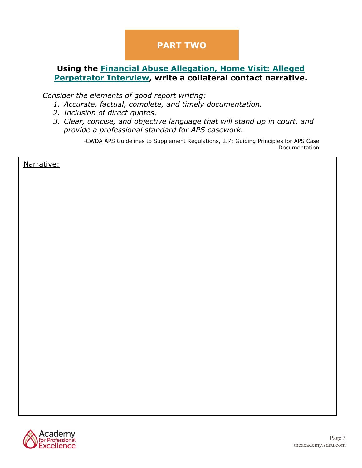# **PART TWO**

#### **Using the [Financial Abuse Allegation, Home Visit: Alleged](https://www.youtube.com/watch?v=6i9ARePrPpE)  [Perpetrator Interview,](https://www.youtube.com/watch?v=6i9ARePrPpE) write a collateral contact narrative.**

*Consider the elements of good report writing:* 

- *1. Accurate, factual, complete, and timely documentation.*
- *2. Inclusion of direct quotes.*
- *3. Clear, concise, and objective language that will stand up in court, and provide a professional standard for APS casework.*

-CWDA APS Guidelines to Supplement Regulations, 2.7: Guiding Principles for APS Case Documentation

Narrative:

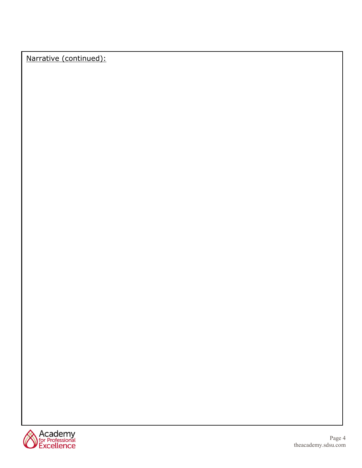Narrative (continued):

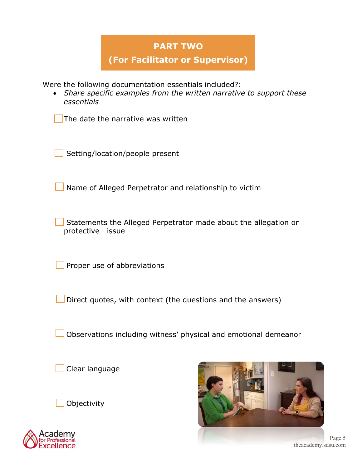### **PART TWO**

**(For Facilitator or Supervisor)**

Were the following documentation essentials included?:

• *Share specific examples from the written narrative to support these essentials*

The date the narrative was written

Setting/location/people present

Name of Alleged Perpetrator and relationship to victim

Statements the Alleged Perpetrator made about the allegation or protective issue

Proper use of abbreviations

Direct quotes, with context (the questions and the answers)

Observations including witness' physical and emotional demeanor

Clear language







Page 5 theacademy.sdsu.com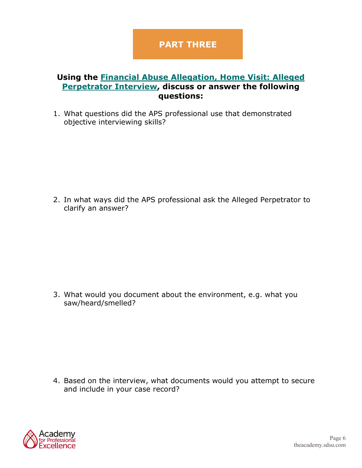## **PART THREE**

#### **Using the [Financial Abuse Allegation, Home Visit: Alleged](https://www.youtube.com/watch?v=6i9ARePrPpE)  [Perpetrator Interview,](https://www.youtube.com/watch?v=6i9ARePrPpE) discuss or answer the following questions:**

1. What questions did the APS professional use that demonstrated objective interviewing skills?

2. In what ways did the APS professional ask the Alleged Perpetrator to clarify an answer?

3. What would you document about the environment, e.g. what you saw/heard/smelled?

4. Based on the interview, what documents would you attempt to secure and include in your case record?